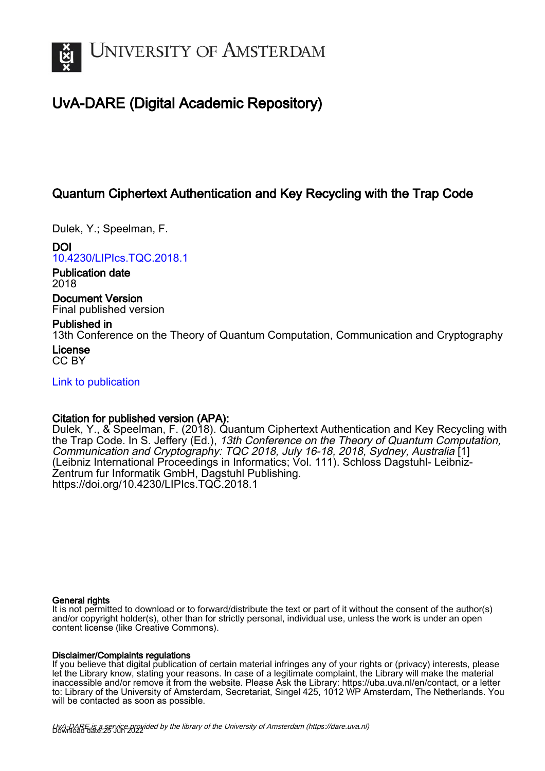

## UvA-DARE (Digital Academic Repository)

## Quantum Ciphertext Authentication and Key Recycling with the Trap Code

Dulek, Y.; Speelman, F.

DOI [10.4230/LIPIcs.TQC.2018.1](https://doi.org/10.4230/LIPIcs.TQC.2018.1)

Publication date 2018

Document Version Final published version

## Published in

13th Conference on the Theory of Quantum Computation, Communication and Cryptography License

CC BY

[Link to publication](https://dare.uva.nl/personal/pure/en/publications/quantum-ciphertext-authentication-and-key-recycling-with-the-trap-code(f23e8554-a61c-477b-b3eb-ae0325abcfa3).html)

## Citation for published version (APA):

Dulek, Y., & Speelman, F. (2018). Quantum Ciphertext Authentication and Key Recycling with the Trap Code. In S. Jeffery (Ed.), 13th Conference on the Theory of Quantum Computation, Communication and Cryptography: TQC 2018, July 16-18, 2018, Sydney, Australia [1] (Leibniz International Proceedings in Informatics; Vol. 111). Schloss Dagstuhl- Leibniz-Zentrum fur Informatik GmbH, Dagstuhl Publishing. <https://doi.org/10.4230/LIPIcs.TQC.2018.1>

## General rights

It is not permitted to download or to forward/distribute the text or part of it without the consent of the author(s) and/or copyright holder(s), other than for strictly personal, individual use, unless the work is under an open content license (like Creative Commons).

## Disclaimer/Complaints regulations

If you believe that digital publication of certain material infringes any of your rights or (privacy) interests, please let the Library know, stating your reasons. In case of a legitimate complaint, the Library will make the material inaccessible and/or remove it from the website. Please Ask the Library: https://uba.uva.nl/en/contact, or a letter to: Library of the University of Amsterdam, Secretariat, Singel 425, 1012 WP Amsterdam, The Netherlands. You will be contacted as soon as possible.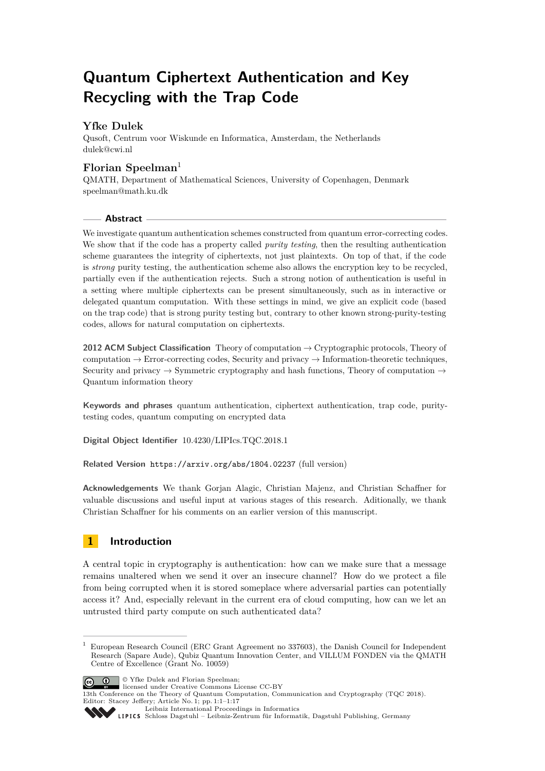# **Quantum Ciphertext Authentication and Key Recycling with the Trap Code**

## **Yfke Dulek**

Qusoft, Centrum voor Wiskunde en Informatica, Amsterdam, the Netherlands [dulek@cwi.nl](mailto:dulek@cwi.nl)

## **Florian Speelman**<sup>1</sup>

QMATH, Department of Mathematical Sciences, University of Copenhagen, Denmark [speelman@math.ku.dk](mailto:speelman@math.ku.dk)

## **Abstract**

We investigate quantum authentication schemes constructed from quantum error-correcting codes. We show that if the code has a property called *purity testing*, then the resulting authentication scheme guarantees the integrity of ciphertexts, not just plaintexts. On top of that, if the code is *strong* purity testing, the authentication scheme also allows the encryption key to be recycled, partially even if the authentication rejects. Such a strong notion of authentication is useful in a setting where multiple ciphertexts can be present simultaneously, such as in interactive or delegated quantum computation. With these settings in mind, we give an explicit code (based on the trap code) that is strong purity testing but, contrary to other known strong-purity-testing codes, allows for natural computation on ciphertexts.

**2012 ACM Subject Classification** Theory of computation → Cryptographic protocols, Theory of computation  $\rightarrow$  Error-correcting codes, Security and privacy  $\rightarrow$  Information-theoretic techniques, Security and privacy  $\rightarrow$  Symmetric cryptography and hash functions, Theory of computation  $\rightarrow$ Quantum information theory

**Keywords and phrases** quantum authentication, ciphertext authentication, trap code, puritytesting codes, quantum computing on encrypted data

**Digital Object Identifier** [10.4230/LIPIcs.TQC.2018.1](http://dx.doi.org/10.4230/LIPIcs.TQC.2018.1)

**Related Version** <https://arxiv.org/abs/1804.02237> (full version)

**Acknowledgements** We thank Gorjan Alagic, Christian Majenz, and Christian Schaffner for valuable discussions and useful input at various stages of this research. Aditionally, we thank Christian Schaffner for his comments on an earlier version of this manuscript.

## **1 Introduction**

A central topic in cryptography is authentication: how can we make sure that a message remains unaltered when we send it over an insecure channel? How do we protect a file from being corrupted when it is stored someplace where adversarial parties can potentially access it? And, especially relevant in the current era of cloud computing, how can we let an untrusted third party compute on such authenticated data?

<sup>1</sup> European Research Council (ERC Grant Agreement no 337603), the Danish Council for Independent Research (Sapare Aude), Qubiz Quantum Innovation Center, and VILLUM FONDEN via the QMATH Centre of Excellence (Grant No. 10059)



<sup>©</sup> Yfke Dulek and Florian Speelman; licensed under Creative Commons License CC-BY

<sup>13</sup>th Conference on the Theory of Quantum Computation, Communication and Cryptography (TQC 2018). Editor: Stacey Jeffery; Article No. 1; pp. 1:1–1[:17](#page-17-0)



[Leibniz International Proceedings in Informatics](http://www.dagstuhl.de/lipics/) Leibniz international riveredings in miximetrix<br>
LIPICS [Schloss Dagstuhl – Leibniz-Zentrum für Informatik, Dagstuhl Publishing, Germany](http://www.dagstuhl.de)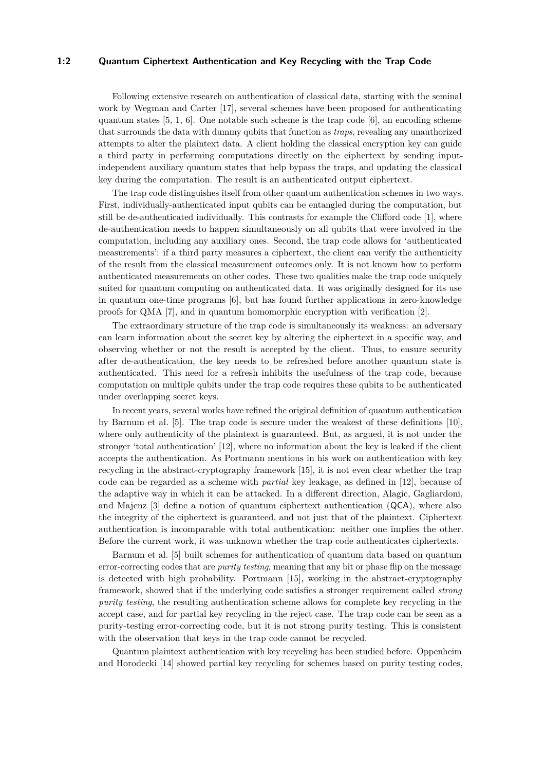#### **1:2 Quantum Ciphertext Authentication and Key Recycling with the Trap Code**

Following extensive research on authentication of classical data, starting with the seminal work by Wegman and Carter [\[17\]](#page-17-1), several schemes have been proposed for authenticating quantum states  $[5, 1, 6]$  $[5, 1, 6]$  $[5, 1, 6]$  $[5, 1, 6]$  $[5, 1, 6]$ . One notable such scheme is the trap code  $[6]$ , an encoding scheme that surrounds the data with dummy qubits that function as *traps*, revealing any unauthorized attempts to alter the plaintext data. A client holding the classical encryption key can guide a third party in performing computations directly on the ciphertext by sending inputindependent auxiliary quantum states that help bypass the traps, and updating the classical key during the computation. The result is an authenticated output ciphertext.

The trap code distinguishes itself from other quantum authentication schemes in two ways. First, individually-authenticated input qubits can be entangled during the computation, but still be de-authenticated individually. This contrasts for example the Clifford code [\[1\]](#page-16-0), where de-authentication needs to happen simultaneously on all qubits that were involved in the computation, including any auxiliary ones. Second, the trap code allows for 'authenticated measurements': if a third party measures a ciphertext, the client can verify the authenticity of the result from the classical measurement outcomes only. It is not known how to perform authenticated measurements on other codes. These two qualities make the trap code uniquely suited for quantum computing on authenticated data. It was originally designed for its use in quantum one-time programs [\[6\]](#page-17-3), but has found further applications in zero-knowledge proofs for QMA [\[7\]](#page-17-4), and in quantum homomorphic encryption with verification [\[2\]](#page-16-1).

The extraordinary structure of the trap code is simultaneously its weakness: an adversary can learn information about the secret key by altering the ciphertext in a specific way, and observing whether or not the result is accepted by the client. Thus, to ensure security after de-authentication, the key needs to be refreshed before another quantum state is authenticated. This need for a refresh inhibits the usefulness of the trap code, because computation on multiple qubits under the trap code requires these qubits to be authenticated under overlapping secret keys.

In recent years, several works have refined the original definition of quantum authentication by Barnum et al. [\[5\]](#page-17-2). The trap code is secure under the weakest of these definitions [\[10\]](#page-17-5), where only authenticity of the plaintext is guaranteed. But, as argued, it is not under the stronger 'total authentication' [\[12\]](#page-17-6), where no information about the key is leaked if the client accepts the authentication. As Portmann mentions in his work on authentication with key recycling in the abstract-cryptography framework [\[15\]](#page-17-7), it is not even clear whether the trap code can be regarded as a scheme with *partial* key leakage, as defined in [\[12\]](#page-17-6), because of the adaptive way in which it can be attacked. In a different direction, Alagic, Gagliardoni, and Majenz [\[3\]](#page-16-2) define a notion of quantum ciphertext authentication (QCA), where also the integrity of the ciphertext is guaranteed, and not just that of the plaintext. Ciphertext authentication is incomparable with total authentication: neither one implies the other. Before the current work, it was unknown whether the trap code authenticates ciphertexts.

Barnum et al. [\[5\]](#page-17-2) built schemes for authentication of quantum data based on quantum error-correcting codes that are *purity testing*, meaning that any bit or phase flip on the message is detected with high probability. Portmann [\[15\]](#page-17-7), working in the abstract-cryptography framework, showed that if the underlying code satisfies a stronger requirement called *strong purity testing*, the resulting authentication scheme allows for complete key recycling in the accept case, and for partial key recycling in the reject case. The trap code can be seen as a purity-testing error-correcting code, but it is not strong purity testing. This is consistent with the observation that keys in the trap code cannot be recycled.

Quantum plaintext authentication with key recycling has been studied before. Oppenheim and Horodecki [\[14\]](#page-17-8) showed partial key recycling for schemes based on purity testing codes,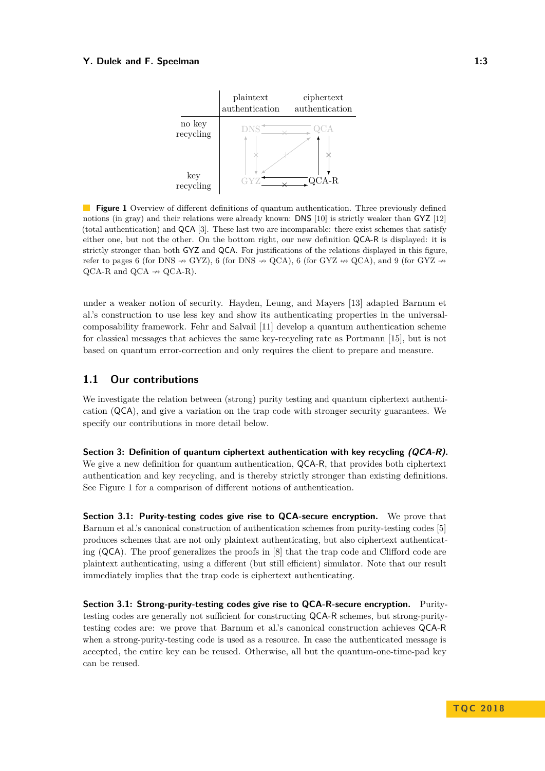<span id="page-3-0"></span>

**Figure 1** Overview of different definitions of quantum authentication. Three previously defined notions (in gray) and their relations were already known: DNS [\[10\]](#page-17-5) is strictly weaker than GYZ [\[12\]](#page-17-6) (total authentication) and QCA [\[3\]](#page-16-2). These last two are incomparable: there exist schemes that satisfy either one, but not the other. On the bottom right, our new definition QCA-R is displayed: it is strictly stronger than both GYZ and QCA. For justifications of the relations displayed in this figure, refer to pages [6](#page-6-0) (for DNS  $\rightarrow$  GYZ), 6 (for DNS  $\rightarrow$  QCA), 6 (for GYZ  $\rightarrow$  QCA), and [9](#page-8-0) (for GYZ  $\rightarrow$  $QCA-R$  and  $QCA \rightarrow QCA-R$ .

under a weaker notion of security. Hayden, Leung, and Mayers [\[13\]](#page-17-9) adapted Barnum et al.'s construction to use less key and show its authenticating properties in the universalcomposability framework. Fehr and Salvail [\[11\]](#page-17-10) develop a quantum authentication scheme for classical messages that achieves the same key-recycling rate as Portmann [\[15\]](#page-17-7), but is not based on quantum error-correction and only requires the client to prepare and measure.

## **1.1 Our contributions**

We investigate the relation between (strong) purity testing and quantum ciphertext authentication (QCA), and give a variation on the trap code with stronger security guarantees. We specify our contributions in more detail below.

**Section [3:](#page-8-1) Definition of quantum ciphertext authentication with key recycling (QCA-R).** We give a new definition for quantum authentication, QCA-R, that provides both ciphertext authentication and key recycling, and is thereby strictly stronger than existing definitions. See Figure [1](#page-3-0) for a comparison of different notions of authentication.

**Section [3.1:](#page-9-0) Purity-testing codes give rise to QCA-secure encryption.** We prove that Barnum et al.'s canonical construction of authentication schemes from purity-testing codes [\[5\]](#page-17-2) produces schemes that are not only plaintext authenticating, but also ciphertext authenticating (QCA). The proof generalizes the proofs in [\[8\]](#page-17-11) that the trap code and Clifford code are plaintext authenticating, using a different (but still efficient) simulator. Note that our result immediately implies that the trap code is ciphertext authenticating.

**Section [3.1:](#page-9-0) Strong-purity-testing codes give rise to QCA-R-secure encryption.** Puritytesting codes are generally not sufficient for constructing QCA-R schemes, but strong-puritytesting codes are: we prove that Barnum et al.'s canonical construction achieves QCA-R when a strong-purity-testing code is used as a resource. In case the authenticated message is accepted, the entire key can be reused. Otherwise, all but the quantum-one-time-pad key can be reused.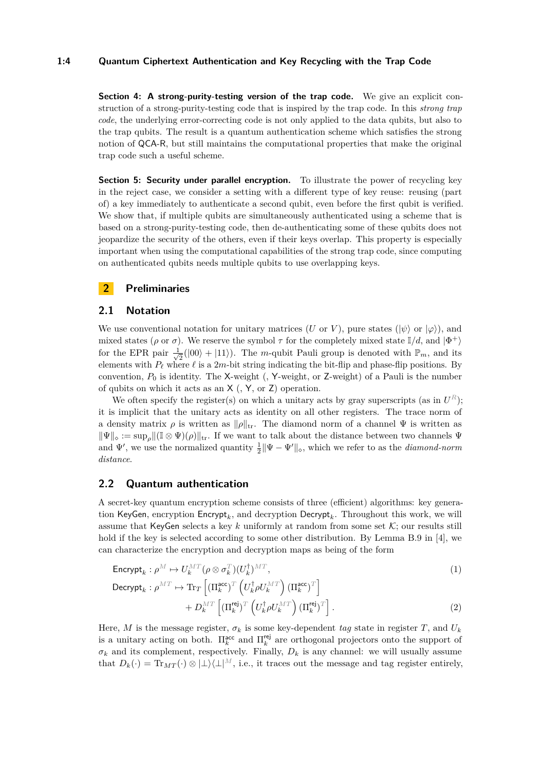#### **1:4 Quantum Ciphertext Authentication and Key Recycling with the Trap Code**

**Section [4:](#page-12-0) A strong-purity-testing version of the trap code.** We give an explicit construction of a strong-purity-testing code that is inspired by the trap code. In this *strong trap code*, the underlying error-correcting code is not only applied to the data qubits, but also to the trap qubits. The result is a quantum authentication scheme which satisfies the strong notion of QCA-R, but still maintains the computational properties that make the original trap code such a useful scheme.

**Section [5:](#page-15-0) Security under parallel encryption.** To illustrate the power of recycling key in the reject case, we consider a setting with a different type of key reuse: reusing (part of) a key immediately to authenticate a second qubit, even before the first qubit is verified. We show that, if multiple qubits are simultaneously authenticated using a scheme that is based on a strong-purity-testing code, then de-authenticating some of these qubits does not jeopardize the security of the others, even if their keys overlap. This property is especially important when using the computational capabilities of the strong trap code, since computing on authenticated qubits needs multiple qubits to use overlapping keys.

## **2 Preliminaries**

#### **2.1 Notation**

We use conventional notation for unitary matrices (*U* or *V*), pure states ( $|\psi\rangle$  or  $|\varphi\rangle$ ), and mixed states ( $\rho$  or  $\sigma$ ). We reserve the symbol  $\tau$  for the completely mixed state  $\mathbb{I}/d$ , and  $|\Phi^+\rangle$ for the EPR pair  $\frac{1}{\sqrt{2}}$  $\frac{1}{2}(|00\rangle + |11\rangle)$ . The *m*-qubit Pauli group is denoted with  $\mathbb{P}_m$ , and its elements with  $P_\ell$  where  $\ell$  is a 2*m*-bit string indicating the bit-flip and phase-flip positions. By convention, *P*<sup>0</sup> is identity. The X-weight (, Y-weight, or Z-weight) of a Pauli is the number of qubits on which it acts as an X (, Y, or Z) operation.

We often specify the register(s) on which a unitary acts by gray superscripts (as in  $U^R$ ); it is implicit that the unitary acts as identity on all other registers. The trace norm of a density matrix  $\rho$  is written as  $\|\rho\|_{tr}$ . The diamond norm of a channel  $\Psi$  is written as  $\|\Psi\|_{\infty} := \sup_{\alpha} \|(\mathbb{I} \otimes \Psi)(\rho)\|_{tr}$ . If we want to talk about the distance between two channels  $\Psi$ and  $\Psi'$ , we use the normalized quantity  $\frac{1}{2} \|\Psi - \Psi'\|_{\diamond}$ , which we refer to as the *diamond-norm distance*.

## <span id="page-4-2"></span>**2.2 Quantum authentication**

A secret-key quantum encryption scheme consists of three (efficient) algorithms: key generation KeyGen, encryption  $\mathsf{Encrypt}_k$ , and decryption  $\mathsf{Decrypt}_k$ . Throughout this work, we will assume that KeyGen selects a key k uniformly at random from some set  $K$ ; our results still hold if the key is selected according to some other distribution. By Lemma B.9 in [\[4\]](#page-16-3), we can characterize the encryption and decryption maps as being of the form

$$
\mathsf{Encrypt}_k: \rho^M \mapsto U_k^{MT}(\rho \otimes \sigma_k^T)(U_k^{\dagger})^{MT}, \tag{1}
$$

<span id="page-4-1"></span><span id="page-4-0"></span>
$$
\begin{split} \n\text{Decrypt}_{k}: \rho^{MT} &\mapsto \text{Tr}_{T} \left[ \left( \Pi_{k}^{\text{acc}} \right)^{T} \left( U_{k}^{\dagger} \rho U_{k}^{MT} \right) \left( \Pi_{k}^{\text{acc}} \right)^{T} \right] \\ \n&\quad + D_{k}^{MT} \left[ \left( \Pi_{k}^{\text{rej}} \right)^{T} \left( U_{k}^{\dagger} \rho U_{k}^{MT} \right) \left( \Pi_{k}^{\text{rej}} \right)^{T} \right]. \n\end{split} \tag{2}
$$

Here, *M* is the message register,  $\sigma_k$  is some key-dependent tag state in register *T*, and  $U_k$ is a unitary acting on both.  $\Pi_k^{\text{acc}}$  and  $\Pi_k^{\text{rej}}$  are orthogonal projectors onto the support of  $\sigma_k$  and its complement, respectively. Finally,  $D_k$  is any channel: we will usually assume that  $D_k(\cdot) = \text{Tr}_{MT}(\cdot) \otimes |\perp\rangle\langle\perp|^M$ , i.e., it traces out the message and tag register entirely,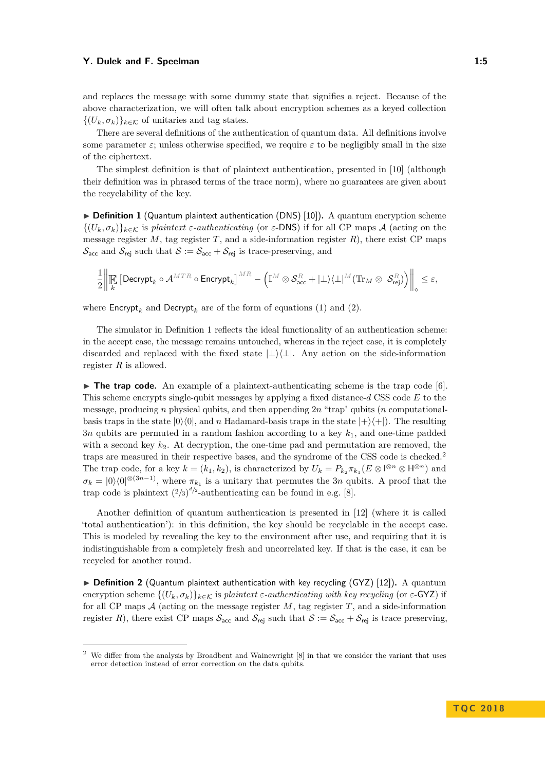and replaces the message with some dummy state that signifies a reject. Because of the above characterization, we will often talk about encryption schemes as a keyed collection  $\{(U_k, \sigma_k)\}_{k \in \mathcal{K}}$  of unitaries and tag states.

There are several definitions of the authentication of quantum data. All definitions involve some parameter  $\varepsilon$ ; unless otherwise specified, we require  $\varepsilon$  to be negligibly small in the size of the ciphertext.

The simplest definition is that of plaintext authentication, presented in [\[10\]](#page-17-5) (although their definition was in phrased terms of the trace norm), where no guarantees are given about the recyclability of the key.

<span id="page-5-1"></span>▶ **Definition 1** (Quantum plaintext authentication (DNS) [\[10\]](#page-17-5)). A quantum encryption scheme  $\{(U_k, \sigma_k)\}_{k\in\mathcal{K}}$  is *plaintext*  $\varepsilon$ *-authenticating* (or  $\varepsilon$ -DNS) if for all CP maps A (acting on the message register  $M$ , tag register  $T$ , and a side-information register  $R$ ), there exist CP maps  $\mathcal{S}_{\text{acc}}$  and  $\mathcal{S}_{\text{rej}}$  such that  $\mathcal{S} := \mathcal{S}_{\text{acc}} + \mathcal{S}_{\text{rej}}$  is trace-preserving, and

$$
\frac{1}{2}\bigg\|\underset{k}{\mathbb{E}}\left[\text{Decrypt}_{k}\circ\mathcal{A}^{MTR}\circ\text{Encrypt}_{k}\right]^{MR}-\left(\mathbb{I}^{M}\otimes\mathcal{S}_{\text{acc}}^{R}+|\bot\rangle\langle\bot|^{M}(\text{Tr}_{M}\otimes~\mathcal{S}_{\text{rej}}^{R})\right)\bigg\|_{\diamond}\leq\varepsilon,
$$

where  $\mathsf{Encrypt}_k$  and  $\mathsf{Decrypt}_k$  are of the form of equations [\(1\)](#page-4-0) and [\(2\)](#page-4-1).

The simulator in Definition [1](#page-5-1) reflects the ideal functionality of an authentication scheme: in the accept case, the message remains untouched, whereas in the reject case, it is completely discarded and replaced with the fixed state  $|\perp\rangle\langle\perp|$ . Any action on the side-information register *R* is allowed.

 $\triangleright$  **The trap code.** An example of a plaintext-authenticating scheme is the trap code [\[6\]](#page-17-3). This scheme encrypts single-qubit messages by applying a fixed distance-*d* CSS code *E* to the message, producing *n* physical qubits, and then appending 2*n* "trap" qubits (*n* computationalbasis traps in the state  $|0\rangle\langle 0|$ , and *n* Hadamard-basis traps in the state  $|+\rangle\langle +|$ ). The resulting 3*n* qubits are permuted in a random fashion according to a key *k*1, and one-time padded with a second key *k*2. At decryption, the one-time pad and permutation are removed, the traps are measured in their respective bases, and the syndrome of the CSS code is checked.[2](#page-5-2) The trap code, for a key  $k = (k_1, k_2)$ , is characterized by  $U_k = P_{k_2} \pi_{k_1} (E \otimes \mathbb{I}^{\otimes n} \otimes \mathsf{H}^{\otimes n})$  and  $\sigma_k = |0\rangle\langle 0|^{\otimes(3n-1)}$ , where  $\pi_{k_1}$  is a unitary that permutes the 3*n* qubits. A proof that the trap code is plaintext  $(2/3)^{d/2}$ -authenticating can be found in e.g. [\[8\]](#page-17-11).

Another definition of quantum authentication is presented in [\[12\]](#page-17-6) (where it is called 'total authentication'): in this definition, the key should be recyclable in the accept case. This is modeled by revealing the key to the environment after use, and requiring that it is indistinguishable from a completely fresh and uncorrelated key. If that is the case, it can be recycled for another round.

<span id="page-5-0"></span>▶ **Definition 2** (Quantum plaintext authentication with key recycling (GYZ) [\[12\]](#page-17-6)). A quantum encryption scheme  $\{(U_k, \sigma_k)\}_{k \in \mathcal{K}}$  is *plaintext*  $\varepsilon$ *-authenticating with key recycling* (or  $\varepsilon$ -GYZ) if for all CP maps  $A$  (acting on the message register  $M$ , tag register  $T$ , and a side-information register *R*), there exist CP maps  $S_{\text{acc}}$  and  $S_{\text{rej}}$  such that  $S := S_{\text{acc}} + S_{\text{rej}}$  is trace preserving,

<span id="page-5-2"></span><sup>&</sup>lt;sup>2</sup> We differ from the analysis by Broadbent and Wainewright [\[8\]](#page-17-11) in that we consider the variant that uses error detection instead of error correction on the data qubits.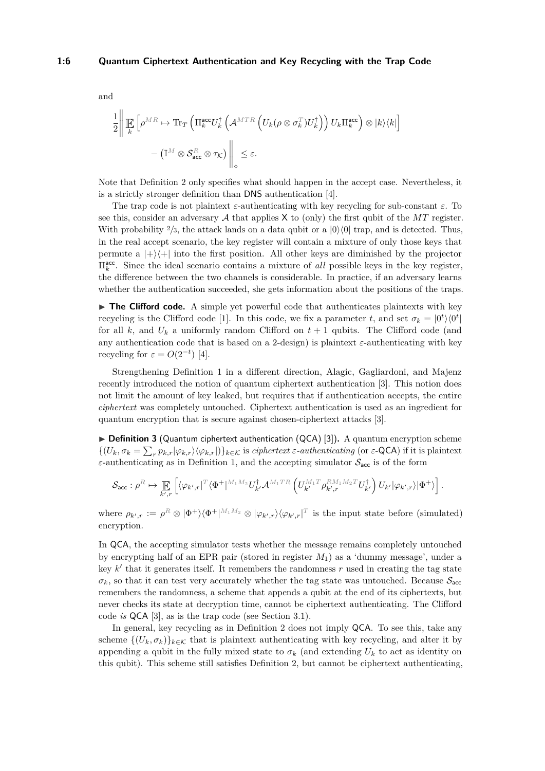$$
\frac{1}{2} \Bigg\| \mathop{\mathbb{E}}_{k} \left[ \rho^{MR} \mapsto \mathrm{Tr}_{T} \left( \Pi_{k}^{\mathrm{acc}} U_{k}^{\dagger} \left( \mathcal{A}^{MTR} \left( U_{k} (\rho \otimes \sigma_{k}^{T}) U_{k}^{\dagger} \right) \right) U_{k} \Pi_{k}^{\mathrm{acc}} \right) \otimes |k\rangle \langle k| \right] - \left( \mathbb{I}^{M} \otimes \mathcal{S}_{\mathrm{acc}}^{R} \otimes \tau_{\mathcal{K}} \right) \Bigg\|_{\diamond} \leq \varepsilon.
$$

Note that Definition [2](#page-5-0) only specifies what should happen in the accept case. Nevertheless, it is a strictly stronger definition than DNS authentication [\[4\]](#page-16-3).

The trap code is not plaintext  $\varepsilon$ -authenticating with key recycling for sub-constant  $\varepsilon$ . To see this, consider an adversary  $A$  that applies  $X$  to (only) the first qubit of the  $MT$  register. With probability  $\frac{2}{3}$ , the attack lands on a data qubit or a  $|0\rangle\langle0|$  trap, and is detected. Thus, in the real accept scenario, the key register will contain a mixture of only those keys that permute a  $|+\rangle\langle+|$  into the first position. All other keys are diminished by the projector  $\Pi_k^{\text{acc}}$ . Since the ideal scenario contains a mixture of *all* possible keys in the key register, the difference between the two channels is considerable. In practice, if an adversary learns whether the authentication succeeded, she gets information about the positions of the traps.

 $\triangleright$  **The Clifford code.** A simple yet powerful code that authenticates plaintexts with key recycling is the Clifford code [\[1\]](#page-16-0). In this code, we fix a parameter *t*, and set  $\sigma_k = |0^t\rangle\langle0^t|$ for all  $k$ , and  $U_k$  a uniformly random Clifford on  $t + 1$  qubits. The Clifford code (and any authentication code that is based on a 2-design) is plaintext *ε*-authenticating with key recycling for  $\varepsilon = O(2^{-t})$  [\[4\]](#page-16-3).

Strengthening Definition [1](#page-5-1) in a different direction, Alagic, Gagliardoni, and Majenz recently introduced the notion of quantum ciphertext authentication [\[3\]](#page-16-2). This notion does not limit the amount of key leaked, but requires that if authentication accepts, the entire *ciphertext* was completely untouched. Ciphertext authentication is used as an ingredient for quantum encryption that is secure against chosen-ciphertext attacks [\[3\]](#page-16-2).

<span id="page-6-0"></span>▶ **Definition 3** (Quantum ciphertext authentication (QCA) [\[3\]](#page-16-2)). A quantum encryption scheme  $\{(U_k, \sigma_k = \sum_r p_{k,r} | \varphi_{k,r} \rangle \langle \varphi_{k,r} | )\}_{k \in \mathcal{K}}$  is *ciphertext ε-authenticating* (or *ε*-QCA) if it is plaintext *ε*-authenticating as in Definition [1,](#page-5-1) and the accepting simulator  $S_{\text{acc}}$  is of the form

$$
\mathcal{S}_{\text{acc}}: \rho^R \mapsto \mathop{\mathbb{E}}_{k',r}\left[\langle \varphi_{k',r}|^T \langle \Phi^+|^{M_1M_2} U_{k'}^\dagger \mathcal{A}^{M_1TR}\left(U_{k'}^{M_1T}\rho_{k',r}^{RM_1M_2T} U_{k'}^\dagger\right)U_{k'}|\varphi_{k',r}\rangle|\Phi^+\rangle\right].
$$

 $\mathsf{where} \ \rho_{k',r} := \rho^R \otimes |\Phi^+\rangle\langle\Phi^+|^{M_1M_2} \otimes |\varphi_{k',r}\rangle\langle\varphi_{k',r}|^T \text{ is the input state before (simulated)}$ encryption.

In QCA, the accepting simulator tests whether the message remains completely untouched by encrypting half of an EPR pair (stored in register *M*1) as a 'dummy message', under a key  $k'$  that it generates itself. It remembers the randomness  $r$  used in creating the tag state  $\sigma_k$ , so that it can test very accurately whether the tag state was untouched. Because  $S_{\text{acc}}$ remembers the randomness, a scheme that appends a qubit at the end of its ciphertexts, but never checks its state at decryption time, cannot be ciphertext authenticating. The Clifford code *is* QCA [\[3\]](#page-16-2), as is the trap code (see Section [3.1\)](#page-9-0).

In general, key recycling as in Definition [2](#page-5-0) does not imply QCA. To see this, take any scheme  $\{(U_k, \sigma_k)\}_{k \in \mathcal{K}}$  that is plaintext authenticating with key recycling, and alter it by appending a qubit in the fully mixed state to  $\sigma_k$  (and extending  $U_k$  to act as identity on this qubit). This scheme still satisfies Definition [2,](#page-5-0) but cannot be ciphertext authenticating,

and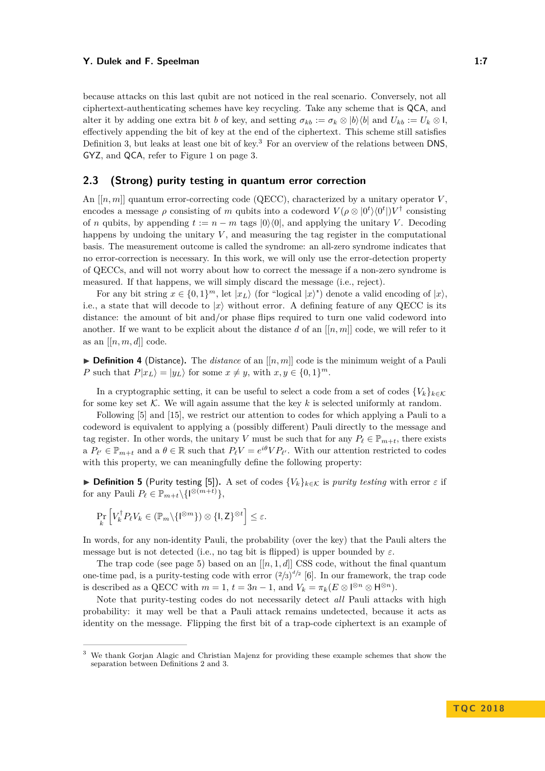because attacks on this last qubit are not noticed in the real scenario. Conversely, not all ciphertext-authenticating schemes have key recycling. Take any scheme that is QCA, and alter it by adding one extra bit *b* of key, and setting  $\sigma_{kb} := \sigma_k \otimes |b\rangle\langle b|$  and  $U_{kb} := U_k \otimes I$ , effectively appending the bit of key at the end of the ciphertext. This scheme still satisfies Definition [3,](#page-6-0) but leaks at least one bit of key.<sup>[3](#page-7-0)</sup> For an overview of the relations between DNS. GYZ, and QCA, refer to Figure [1](#page-3-0) on page [3.](#page-3-0)

## **2.3 (Strong) purity testing in quantum error correction**

An  $[[n, m]]$  quantum error-correcting code (QECC), characterized by a unitary operator *V*. encodes a message  $\rho$  consisting of *m* qubits into a codeword  $V(\rho \otimes |0^t\rangle\langle 0^t|)V^{\dagger}$  consisting of *n* qubits, by appending  $t := n - m$  tags  $|0\rangle\langle0|$ , and applying the unitary *V*. Decoding happens by undoing the unitary  $V$ , and measuring the tag register in the computational basis. The measurement outcome is called the syndrome: an all-zero syndrome indicates that no error-correction is necessary. In this work, we will only use the error-detection property of QECCs, and will not worry about how to correct the message if a non-zero syndrome is measured. If that happens, we will simply discard the message (i.e., reject).

For any bit string  $x \in \{0,1\}^m$ , let  $|x_L\rangle$  (for "logical  $|x\rangle$ ") denote a valid encoding of  $|x\rangle$ , i.e., a state that will decode to  $|x\rangle$  without error. A defining feature of any QECC is its distance: the amount of bit and/or phase flips required to turn one valid codeword into another. If we want to be explicit about the distance  $d$  of an  $[[n,m]]$  code, we will refer to it as an  $[[n, m, d]]$  code.

<span id="page-7-1"></span> $\triangleright$  **Definition 4** (Distance). The *distance* of an  $[[n,m]]$  code is the minimum weight of a Pauli *P* such that  $P|x_L\rangle = |y_L\rangle$  for some  $x \neq y$ , with  $x, y \in \{0, 1\}^m$ .

In a cryptographic setting, it can be useful to select a code from a set of codes  $\{V_k\}_{k\in\mathcal{K}}$ for some key set  $K$ . We will again assume that the key  $k$  is selected uniformly at random.

Following [\[5\]](#page-17-2) and [\[15\]](#page-17-7), we restrict our attention to codes for which applying a Pauli to a codeword is equivalent to applying a (possibly different) Pauli directly to the message and tag register. In other words, the unitary *V* must be such that for any  $P_\ell \in \mathbb{P}_{m+t}$ , there exists a  $P_{\ell'} \in \mathbb{P}_{m+t}$  and a  $\theta \in \mathbb{R}$  such that  $P_{\ell}V = e^{i\theta}VP_{\ell'}$ . With our attention restricted to codes with this property, we can meaningfully define the following property:

 $▶$  **Definition 5** (Purity testing [\[5\]](#page-17-2)). A set of codes  ${V_k}_{k \in K}$  is *purity testing* with error  $ε$  if for any Pauli  $P_{\ell} \in \mathbb{P}_{m+t} \setminus {\{\mathsf{I}^{\otimes (m+t)}\}},$ 

$$
\Pr_{k} \left[ V_{k}^{\dagger} P_{\ell} V_{k} \in (\mathbb{P}_{m} \backslash \{ \mathbf{I}^{\otimes m} \}) \otimes \{ \mathbf{I}, \mathbf{Z} \}^{\otimes t} \right] \leq \varepsilon.
$$

In words, for any non-identity Pauli, the probability (over the key) that the Pauli alters the message but is not detected (i.e., no tag bit is flipped) is upper bounded by *ε*.

The trap code (see page [5\)](#page-5-1) based on an  $[[n, 1, d]]$  CSS code, without the final quantum one-time pad, is a purity-testing code with error  $(2/3)^{d/2}$  [\[6\]](#page-17-3). In our framework, the trap code is described as a QECC with  $m = 1$ ,  $t = 3n - 1$ , and  $V_k = \pi_k (E \otimes \mathbb{I}^{\otimes n} \otimes \mathsf{H}^{\otimes n})$ .

Note that purity-testing codes do not necessarily detect *all* Pauli attacks with high probability: it may well be that a Pauli attack remains undetected, because it acts as identity on the message. Flipping the first bit of a trap-code ciphertext is an example of

<span id="page-7-0"></span><sup>3</sup> We thank Gorjan Alagic and Christian Majenz for providing these example schemes that show the separation between Definitions [2](#page-5-0) and [3.](#page-6-0)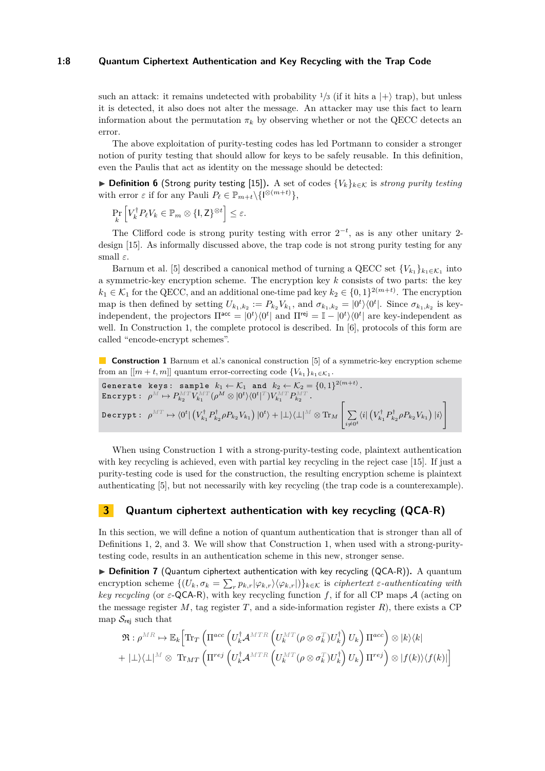#### **1:8 Quantum Ciphertext Authentication and Key Recycling with the Trap Code**

such an attack: it remains undetected with probability  $\frac{1}{3}$  (if it hits a  $|+\rangle$  trap), but unless it is detected, it also does not alter the message. An attacker may use this fact to learn information about the permutation  $\pi_k$  by observing whether or not the QECC detects an error.

The above exploitation of purity-testing codes has led Portmann to consider a stronger notion of purity testing that should allow for keys to be safely reusable. In this definition, even the Paulis that act as identity on the message should be detected:

**► Definition 6** (Strong purity testing [\[15\]](#page-17-7)). A set of codes  ${V_k}_{k \in K}$  is *strong purity testing* with error  $\varepsilon$  if for any Pauli  $P_\ell \in \mathbb{P}_{m+t} \setminus \{1^{\otimes (m+t)}\},$ 

$$
\Pr_{k} \left[ V_{k}^{\dagger} P_{\ell} V_{k} \in \mathbb{P}_{m} \otimes \{ \mathbf{I}, \mathbf{Z} \}^{\otimes t} \right] \leq \varepsilon.
$$

The Clifford code is strong purity testing with error  $2^{-t}$ , as is any other unitary 2design [\[15\]](#page-17-7). As informally discussed above, the trap code is not strong purity testing for any small *ε*.

Barnum et al. [\[5\]](#page-17-2) described a canonical method of turning a QECC set  ${V_{k_1}}_{k_1 \in K_1}$  into a symmetric-key encryption scheme. The encryption key *k* consists of two parts: the key  $k_1 \in \mathcal{K}_1$  for the QECC, and an additional one-time pad key  $k_2 \in \{0,1\}^{2(m+t)}$ . The encryption map is then defined by setting  $U_{k_1,k_2} := P_{k_2} V_{k_1}$ , and  $\sigma_{k_1,k_2} = |0^t\rangle\langle 0^t|$ . Since  $\sigma_{k_1,k_2}$  is keyindependent, the projectors  $\Pi^{\text{acc}} = |0^t\rangle\langle0^t|$  and  $\Pi^{\text{rej}} = \mathbb{I} - |0^t\rangle\langle0^t|$  are key-independent as well. In Construction [1,](#page-8-2) the complete protocol is described. In [\[6\]](#page-17-3), protocols of this form are called "encode-encrypt schemes".

<span id="page-8-2"></span>**Construction 1** Barnum et al.'s canonical construction [\[5\]](#page-17-2) of a symmetric-key encryption scheme from an  $[[m+t,m]]$  quantum error-correcting code  $\{V_{k_1}\}_{k_1 \in \mathcal{K}_1}$ .

$$
\begin{aligned}\n\text{Generate keys: sample } & k_1 \leftarrow \mathcal{K}_1 \text{ and } k_2 \leftarrow \mathcal{K}_2 = \{0, 1\}^{2(m+t)} \\
\text{Encrypt: } & \rho^M \mapsto P_{k_2}^{MT} V_{k_1}^{MT} (\rho^M \otimes |0^t \rangle \langle 0^t|^T) V_{k_1}^{MT} P_{k_2}^{MT} \\
\text{Decrypt: } & \rho^{MT} \mapsto \langle 0^t | \left( V_{k_1}^{\dagger} P_{k_2}^{\dagger} \rho P_{k_2} V_{k_1} \right) |0^t \rangle + | \perp \rangle \langle \perp |^M \otimes \text{Tr}_M \left[ \sum_{i \neq 0^t} \langle i | \left( V_{k_1}^{\dagger} P_{k_2}^{\dagger} \rho P_{k_2} V_{k_1} \right) | i \rangle \right]\n\end{aligned}
$$

When using Construction [1](#page-8-2) with a strong-purity-testing code, plaintext authentication with key recycling is achieved, even with partial key recycling in the reject case [\[15\]](#page-17-7). If just a purity-testing code is used for the construction, the resulting encryption scheme is plaintext authenticating [\[5\]](#page-17-2), but not necessarily with key recycling (the trap code is a counterexample).

## <span id="page-8-1"></span>**3 Quantum ciphertext authentication with key recycling (QCA-R)**

In this section, we will define a notion of quantum authentication that is stronger than all of Definitions [1,](#page-5-1) [2,](#page-5-0) and [3.](#page-6-0) We will show that Construction [1,](#page-8-2) when used with a strong-puritytesting code, results in an authentication scheme in this new, stronger sense.

<span id="page-8-0"></span>▶ **Definition 7** (Quantum ciphertext authentication with key recycling (QCA-R)). A quantum  $\text{encryption scheme } \{(U_k, \sigma_k = \sum_r p_{k,r} |\varphi_{k,r}\rangle \langle \varphi_{k,r}|)\}_{k \in \mathcal{K}} \text{ is ciphertext } \varepsilon\text{-}authenticating with }$ *key recycling* (or *ε*-QCA-R), with key recycling function *f*, if for all CP maps A (acting on the message register  $M$ , tag register  $T$ , and a side-information register  $R$ ), there exists a CP map  $S_{\text{rei}}$  such that

$$
\begin{aligned} & \mathfrak{R}: \rho^{MR} \mapsto \mathbb{E}_k \Big[\mathrm{Tr}_T \left( \Pi^{acc} \left( U_k^\dagger \mathcal{A}^{MTR} \left( U_k^{MT} (\rho \otimes \sigma_k^T) U_k^\dagger \right) U_k \right) \Pi^{acc} \right) \otimes |k\rangle \langle k| \\ & + | \bot \rangle \langle \bot |^M \otimes \ \mathrm{Tr}_{MT} \left( \Pi^{rej} \left( U_k^\dagger \mathcal{A}^{MTR} \left( U_k^{MT} (\rho \otimes \sigma_k^T) U_k^\dagger \right) U_k \right) \Pi^{rej} \right) \otimes |f(k)\rangle \langle f(k)| \Big] \end{aligned}
$$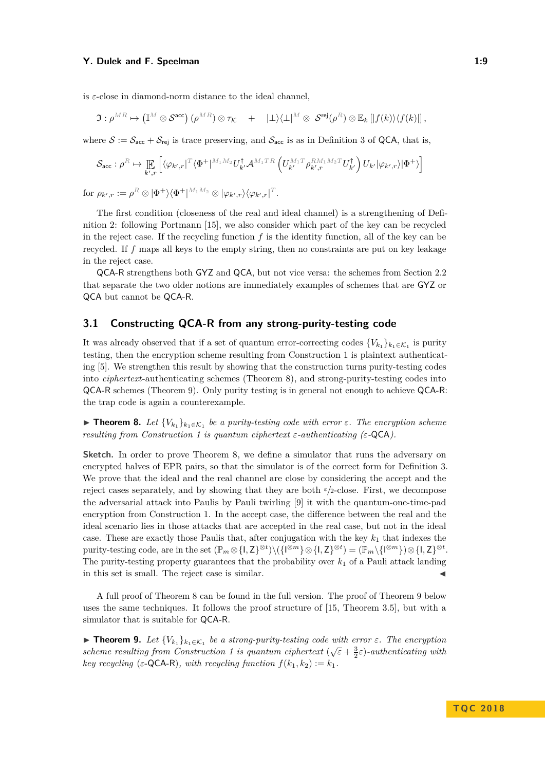is  $\varepsilon$ -close in diamond-norm distance to the ideal channel,

$$
\mathfrak{I}: \rho^{MR} \mapsto (\mathbb{I}^M \otimes \mathcal{S}^{\text{acc}}) \left( \rho^{MR} \right) \otimes \tau_{\mathcal{K}} + |\perp\rangle\langle \perp|^{M} \otimes \mathcal{S}^{\text{rej}}(\rho^{R}) \otimes \mathbb{E}_k \left[ |f(k)\rangle\langle f(k)| \right],
$$

where  $S := S_{\text{acc}} + S_{\text{rei}}$  is trace preserving, and  $S_{\text{acc}}$  is as in Definition [3](#page-6-0) of QCA, that is,

$$
\mathcal{S}_{\text{acc}}: \rho^R \mapsto \mathop{\mathbb{E}}_{k',r} \left[ \langle \varphi_{k',r} |^T \langle \Phi^+ |^{M_1M_2} U_{k'}^\dagger \mathcal{A}^{M_1TR} \left( U_{k'}^{M_1T} \rho_{k',r}^{RM_1M_2T} U_{k'}^\dagger \right) U_{k'} | \varphi_{k',r} \rangle | \Phi^+ \rangle \right]
$$

 ${\rm for} \ \rho_{k',r}:=\rho^R\otimes |\Phi^+\rangle\langle\Phi^+|^{M_1M_2}\otimes|\varphi_{k',r}\rangle\langle\varphi_{k',r}|^T.$ 

The first condition (closeness of the real and ideal channel) is a strengthening of Definition [2:](#page-5-0) following Portmann [\[15\]](#page-17-7), we also consider which part of the key can be recycled in the reject case. If the recycling function *f* is the identity function, all of the key can be recycled. If *f* maps all keys to the empty string, then no constraints are put on key leakage in the reject case.

QCA-R strengthens both GYZ and QCA, but not vice versa: the schemes from Section [2.2](#page-4-2) that separate the two older notions are immediately examples of schemes that are GYZ or QCA but cannot be QCA-R.

## <span id="page-9-0"></span>**3.1 Constructing QCA-R from any strong-purity-testing code**

It was already observed that if a set of quantum error-correcting codes  ${V_{k_1}}_{k_1 \in K_1}$  is purity testing, then the encryption scheme resulting from Construction [1](#page-8-2) is plaintext authenticating [\[5\]](#page-17-2). We strengthen this result by showing that the construction turns purity-testing codes into *ciphertext*-authenticating schemes (Theorem [8\)](#page-9-1), and strong-purity-testing codes into QCA-R schemes (Theorem [9\)](#page-9-2). Only purity testing is in general not enough to achieve QCA-R: the trap code is again a counterexample.

<span id="page-9-1"></span>**► Theorem 8.** Let  ${V_{k_1}}_{k_1 \in K_1}$  be a purity-testing code with error  $\varepsilon$ . The encryption scheme *resulting from Construction [1](#page-8-2) is quantum ciphertext ε-authenticating (ε-*QCA*).*

**Sketch.** In order to prove Theorem [8,](#page-9-1) we define a simulator that runs the adversary on encrypted halves of EPR pairs, so that the simulator is of the correct form for Definition [3.](#page-6-0) We prove that the ideal and the real channel are close by considering the accept and the reject cases separately, and by showing that they are both *<sup>ε</sup>/*2-close. First, we decompose the adversarial attack into Paulis by Pauli twirling [\[9\]](#page-17-12) it with the quantum-one-time-pad encryption from Construction [1.](#page-8-2) In the accept case, the difference between the real and the ideal scenario lies in those attacks that are accepted in the real case, but not in the ideal case. These are exactly those Paulis that, after conjugation with the key  $k_1$  that indexes the  $\text{purity-testing code, are in the set } (\mathbb{P}_m \otimes \{I, Z\}^{\otimes t}) \setminus (\{I^{\otimes m}\} \otimes \{I, Z\}^{\otimes t}) = (\mathbb{P}_m \setminus \{I^{\otimes m}\}) \otimes \{I, Z\}^{\otimes t}.$ The purity-testing property guarantees that the probability over *k*<sup>1</sup> of a Pauli attack landing in this set is small. The reject case is similar.

A full proof of Theorem [8](#page-9-1) can be found in the full version. The proof of Theorem [9](#page-9-2) below uses the same techniques. It follows the proof structure of [\[15,](#page-17-7) Theorem 3.5], but with a simulator that is suitable for QCA-R.

<span id="page-9-2"></span>**Find 1.** *Let*  ${V_{k_1}}_{k_1 \in K_1}$  *be a strong-purity-testing code with error*  $\varepsilon$ *. The encryption scheme resulting from Construction [1](#page-8-2) is quantum ciphertext*  $(\sqrt{\epsilon} + \frac{3}{2}\epsilon)$ -authenticating with *key recycling* ( $\varepsilon$ -QCA-R)*, with recycling function*  $f(k_1, k_2) := k_1$ *.*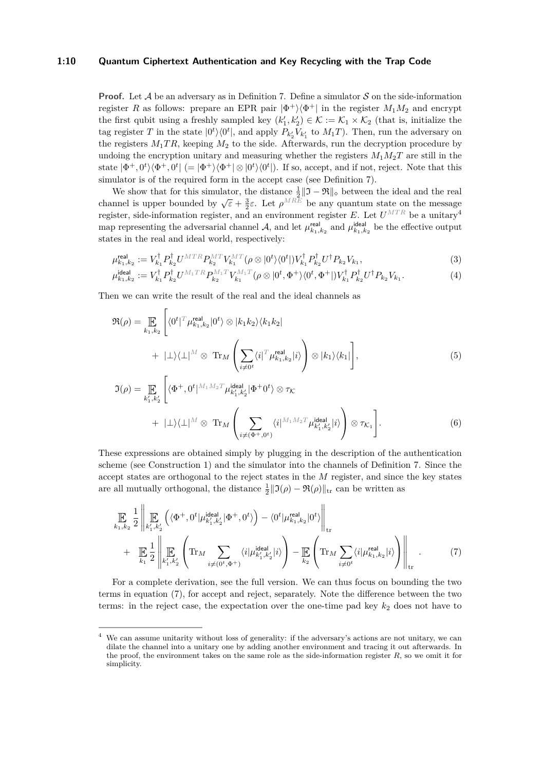#### **1:10 Quantum Ciphertext Authentication and Key Recycling with the Trap Code**

**Proof.** Let A be an adversary as in Definition [7.](#page-8-0) Define a simulator S on the side-information register *R* as follows: prepare an EPR pair  $|\Phi^+\rangle\langle\Phi^+|$  in the register  $M_1M_2$  and encrypt the first qubit using a freshly sampled key  $(k'_1, k'_2) \in \mathcal{K} := \mathcal{K}_1 \times \mathcal{K}_2$  (that is, initialize the tag register *T* in the state  $|0^t\rangle\langle0^t|$ , and apply  $P_{k'_2}V_{k'_1}$  to  $M_1T$ ). Then, run the adversary on the registers  $M_1TR$ , keeping  $M_2$  to the side. Afterwards, run the decryption procedure by undoing the encryption unitary and measuring whether the registers  $M_1M_2T$  are still in the state  $|\Phi^+, 0^t\rangle\langle\Phi^+, 0^t| (= |\Phi^+\rangle\langle\Phi^+| \otimes |0^t\rangle\langle0^t|)$ . If so, accept, and if not, reject. Note that this simulator is of the required form in the accept case (see Definition [7\)](#page-8-0).

We show that for this simulator, the distance  $\frac{1}{2} \|\mathfrak{I} - \mathfrak{R}\|_2$  between the ideal and the real channel is upper bounded by  $\sqrt{\epsilon} + \frac{3}{2}\epsilon$ . Let  $\rho^{MRE}$  be any quantum state on the message equation is appel bounded by  $\sqrt{e} + \frac{1}{2}e$ . Let  $\rho$  be any quantum state on the intessage register, side-information register, and an environment register *E*. Let  $U^{MTR}$  be a unitary<sup>[4](#page-10-0)</sup> map representing the adversarial channel A, and let  $\mu_{k_1,k_2}^{\text{real}}$  and  $\mu_{k_1,k_2}^{\text{ideal}}$  be the effective output states in the real and ideal world, respectively:

$$
\mu_{k_1, k_2}^{\text{real}} := V_{k_1}^{\dagger} P_{k_2}^{\dagger} U^{MTR} P_{k_2}^{MT} V_{k_1}^{MT} (\rho \otimes |0^t \rangle \langle 0^t|) V_{k_1}^{\dagger} P_{k_2}^{\dagger} U^{\dagger} P_{k_2} V_{k_1}, \tag{3}
$$

$$
\mu_{k_1,k_2}^{\text{ideal}} := V_{k_1}^{\dagger} P_{k_2}^{\dagger} U^{M_1TR} P_{k_2}^{M_1T} V_{k_1}^{M_1T} (\rho \otimes |0^t, \Phi^+ \rangle \langle 0^t, \Phi^+ |) V_{k_1}^{\dagger} P_{k_2}^{\dagger} U^{\dagger} P_{k_2} V_{k_1}.
$$
\n(4)

Then we can write the result of the real and the ideal channels as

$$
\mathfrak{R}(\rho) = \mathop{\mathbb{E}}_{k_1, k_2} \left[ \langle 0^t | ^T \mu_{k_1, k_2}^{\text{real}} | 0^t \rangle \otimes | k_1 k_2 \rangle \langle k_1 k_2 | + | \bot \rangle \langle \bot | ^M \otimes \text{Tr}_M \left( \sum_{i \neq 0^t} \langle i | ^T \mu_{k_1, k_2}^{\text{real}} | i \rangle \right) \otimes | k_1 \rangle \langle k_1 | \right],
$$
\n(5)

$$
\mathfrak{I}(\rho) = \mathop{\mathbb{E}}_{k'_1, k'_2} \left[ \langle \Phi^+, 0^t |^{M_1 M_2 T} \mu_{k'_1, k'_2}^{\text{ideal}} | \Phi^+ 0^t \rangle \otimes \tau_{\mathcal{K}} \right. \\
\left. + \left. | \bot \rangle \langle \bot |^{M} \otimes \operatorname{Tr}_{M} \left( \sum_{i \neq (\Phi^+, 0^t)} \langle i |^{M_1 M_2 T} \mu_{k'_1, k'_2}^{\text{ideal}} | i \rangle \right) \otimes \tau_{\mathcal{K}_1} \right].\n\tag{6}
$$

These expressions are obtained simply by plugging in the description of the authentication scheme (see Construction [1\)](#page-8-2) and the simulator into the channels of Definition [7.](#page-8-0) Since the accept states are orthogonal to the reject states in the *M* register, and since the key states are all mutually orthogonal, the distance  $\frac{1}{2}||\Im(\rho) - \Re(\rho)||_{\text{tr}}$  can be written as

<span id="page-10-1"></span>
$$
\mathbb{E}_{k_1,k_2} \frac{1}{2} \left\| \mathbb{E}_{k_1',k_2'} \left( \langle \Phi^+, 0^t | \mu_{k_1',k_2'}^{\text{ideal}} | \Phi^+, 0^t \rangle \right) - \langle 0^t | \mu_{k_1,k_2}^{\text{real}} | 0^t \rangle \right\|_{\text{tr}} \n+ \mathbb{E}_{k_1} \frac{1}{2} \left\| \mathbb{E}_{k_1',k_2'} \left( \text{Tr}_M \sum_{i \neq (0^t, \Phi^+)} \langle i | \mu_{k_1',k_2'}^{\text{ideal}} | i \rangle \right) - \mathbb{E}_{k_2} \left( \text{Tr}_M \sum_{i \neq 0^t} \langle i | \mu_{k_1,k_2}^{\text{real}} | i \rangle \right) \right\|_{\text{tr}}.
$$
\n(7)

For a complete derivation, see the full version. We can thus focus on bounding the two terms in equation [\(7\)](#page-10-1), for accept and reject, separately. Note the difference between the two terms: in the reject case, the expectation over the one-time pad key  $k_2$  does not have to

<span id="page-10-0"></span>We can assume unitarity without loss of generality: if the adversary's actions are not unitary, we can dilate the channel into a unitary one by adding another environment and tracing it out afterwards. In the proof, the environment takes on the same role as the side-information register *R*, so we omit it for simplicity.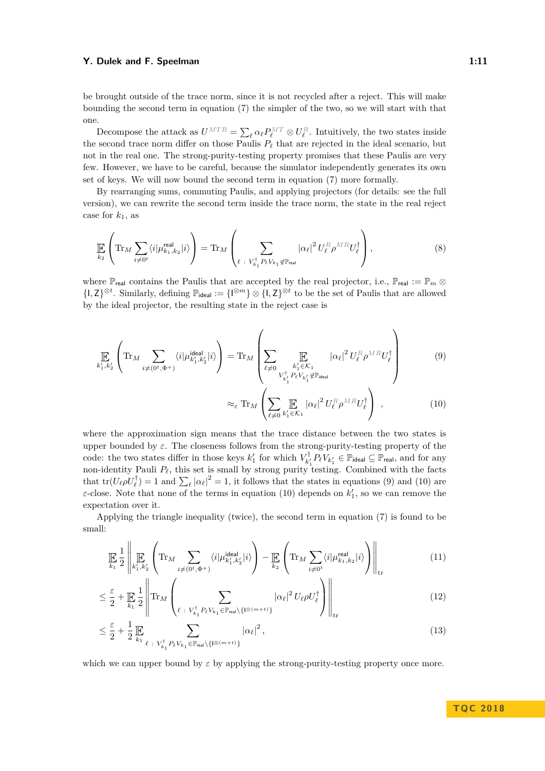be brought outside of the trace norm, since it is not recycled after a reject. This will make bounding the second term in equation [\(7\)](#page-10-1) the simpler of the two, so we will start with that one.

Decompose the attack as  $U^{MTR} = \sum_{\ell} \alpha_{\ell} P_{\ell}^{MT} \otimes U_{\ell}^{R}$ . Intuitively, the two states inside the second trace norm differ on those Paulis  $P_\ell$  that are rejected in the ideal scenario, but not in the real one. The strong-purity-testing property promises that these Paulis are very few. However, we have to be careful, because the simulator independently generates its own set of keys. We will now bound the second term in equation [\(7\)](#page-10-1) more formally.

By rearranging sums, commuting Paulis, and applying projectors (for details: see the full version), we can rewrite the second term inside the trace norm, the state in the real reject case for  $k_1$ , as

$$
\mathbb{E}\left(\text{Tr}_M \sum_{i\neq 0^t} \langle i|\mu_{k_1,k_2}^{\text{real}}|i\rangle\right) = \text{Tr}_M\left(\sum_{\ell \;:\; V_{k_1}^\dagger P_\ell V_{k_1} \notin \mathbb{P}_{\text{real}}} |\alpha_\ell|^2 U_\ell^R \rho^{MR} U_\ell^\dagger\right),\tag{8}
$$

where  $\mathbb{P}_{\text{real}}$  contains the Paulis that are accepted by the real projector, i.e.,  $\mathbb{P}_{\text{real}} := \mathbb{P}_m \otimes$  $\{I, Z\}^{\otimes t}$ . Similarly, defining  $\mathbb{P}_{\text{ideal}} := \{I^{\otimes m}\}\otimes \{I, Z\}^{\otimes t}$  to be the set of Paulis that are allowed by the ideal projector, the resulting state in the reject case is

$$
\underset{k_1',k_2'}{\mathbb{E}}\left(\mathrm{Tr}_M\sum_{i\neq(0^t,\Phi^+)}\langle i|\mu_{k_1',k_2'}^{\text{ideal}}|i\rangle\right)=\mathrm{Tr}_M\left(\sum_{\ell\neq 0}\underset{\substack{k_1'\in\mathcal{K}_1\\k_1'\neq \ell_{k_1'}\neq k_{k_1'}\notin \mathbb{P}_{\text{ideal}}}}|\alpha_{\ell}|^2 U_{\ell}^R\rho^{MR}U_{\ell}^{\dagger}\right)\tag{9}
$$

<span id="page-11-2"></span><span id="page-11-1"></span><span id="page-11-0"></span>
$$
\approx_{\varepsilon} \operatorname{Tr}_{M} \left( \sum_{\ell \neq 0} \prod_{k_{1}^{\prime} \in \mathcal{K}_{1}} |\alpha_{\ell}|^{2} U_{\ell}^{R} \rho^{MR} U_{\ell}^{\dagger} \right) , \qquad (10)
$$

where the approximation sign means that the trace distance between the two states is upper bounded by *ε*. The closeness follows from the strong-purity-testing property of the code: the two states differ in those keys  $k'_1$  for which  $V_k^{\dagger}$  $\mathcal{V}_{k_1'}^\dagger P_\ell V_{k_1'} \in \mathbb{P}_{\mathsf{ideal}} \subseteq \mathbb{P}_{\mathsf{real}}, \text{ and for any }$ non-identity Pauli  $P_\ell$ , this set is small by strong purity testing. Combined with the facts that  $tr(U_{\ell} \rho U_{\ell}^{\dagger}) = 1$  and  $\sum_{\ell} |\alpha_{\ell}|^2 = 1$ , it follows that the states in equations [\(9\)](#page-11-0) and [\(10\)](#page-11-1) are *ε*-close. Note that none of the terms in equation [\(10\)](#page-11-1) depends on  $k'_1$ , so we can remove the expectation over it.

Applying the triangle inequality (twice), the second term in equation [\(7\)](#page-10-1) is found to be small:

$$
\mathbb{E}\left[\mathbb{E}\left[\mathbb{E}\left[\mathbb{E}_{\mathcal{I}_{1},k_{2}'}\left(\text{Tr}_{M}\sum_{i\neq(0^{t},\Phi^{+})}\langle i|\mu_{k_{1}',k_{2}'}^{\text{ideal}}|i\rangle\right)-\mathbb{E}\left(\text{Tr}_{M}\sum_{i\neq0^{t}}\langle i|\mu_{k_{1},k_{2}}^{\text{real}}|i\rangle\right)\right\|_{\text{tr}}\right]
$$
(11)

$$
\leq \frac{\varepsilon}{2} + \mathop{\mathbb{E}}_{k_1} \frac{1}{2} \left\| \text{Tr}_M \left( \sum_{\ell \; : \; V_{k_1}^\dagger P_\ell V_{k_1} \in \mathbb{P}_{\text{real}} \setminus \{l^{\otimes (m+t)}\}} |\alpha_\ell|^2 U_\ell \rho U_\ell^\dagger \right) \right\|_{\text{tr}} \tag{12}
$$

$$
\leq \frac{\varepsilon}{2} + \frac{1}{2} \mathbb{E}_{\ell \, : \, V_{k_1}^\dagger P_\ell V_{k_1} \in \mathbb{P}_{\text{real}} \setminus \{ I^{\otimes (m+t)} \}} |\alpha_\ell|^2 \,, \tag{13}
$$

which we can upper bound by  $\varepsilon$  by applying the strong-purity-testing property once more.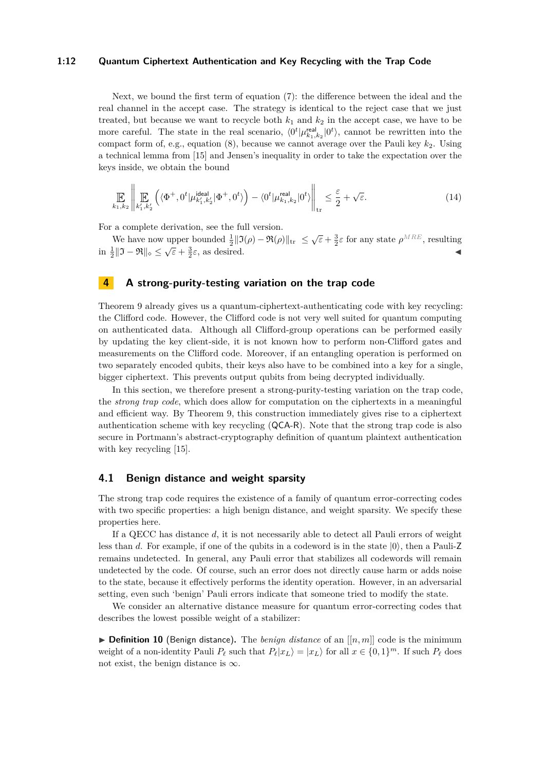#### **1:12 Quantum Ciphertext Authentication and Key Recycling with the Trap Code**

Next, we bound the first term of equation [\(7\)](#page-10-1): the difference between the ideal and the real channel in the accept case. The strategy is identical to the reject case that we just treated, but because we want to recycle both  $k_1$  and  $k_2$  in the accept case, we have to be more careful. The state in the real scenario,  $\langle 0^t | \mu_{k_1,k_2}^{\text{real}} | 0^t \rangle$ , cannot be rewritten into the compact form of, e.g., equation [\(8\)](#page-11-2), because we cannot average over the Pauli key *k*2. Using a technical lemma from [\[15\]](#page-17-7) and Jensen's inequality in order to take the expectation over the keys inside, we obtain the bound

$$
\mathop{\mathbb{E}}_{k_1,k_2} \left\| \mathop{\mathbb{E}}_{k'_1,k'_2} \left( \langle \Phi^+, 0^t | \mu_{k'_1,k'_2}^{\text{ideal}} | \Phi^+, 0^t \rangle \right) - \langle 0^t | \mu_{k_1,k_2}^{\text{real}} | 0^t \rangle \right\|_{\text{tr}} \le \frac{\varepsilon}{2} + \sqrt{\varepsilon}.
$$
\n(14)

For a complete derivation, see the full version.

 $\ddot{\phantom{a}}$ 

We have now upper bounded  $\frac{1}{2} || \Im(\rho) - \Re(\rho) ||_{\text{tr}} \leq \sqrt{\varepsilon} + \frac{3}{2} \varepsilon$  for any state  $\rho^{MRE}$ , resulting in  $\frac{1}{2} ||\mathfrak{I} - \mathfrak{R}||_{\diamond} \le \sqrt{\epsilon} + \frac{3}{2}\epsilon$ , as desired.

## <span id="page-12-0"></span>**4 A strong-purity-testing variation on the trap code**

Theorem [9](#page-9-2) already gives us a quantum-ciphertext-authenticating code with key recycling: the Clifford code. However, the Clifford code is not very well suited for quantum computing on authenticated data. Although all Clifford-group operations can be performed easily by updating the key client-side, it is not known how to perform non-Clifford gates and measurements on the Clifford code. Moreover, if an entangling operation is performed on two separately encoded qubits, their keys also have to be combined into a key for a single, bigger ciphertext. This prevents output qubits from being decrypted individually.

In this section, we therefore present a strong-purity-testing variation on the trap code, the *strong trap code*, which does allow for computation on the ciphertexts in a meaningful and efficient way. By Theorem [9,](#page-9-2) this construction immediately gives rise to a ciphertext authentication scheme with key recycling (QCA-R). Note that the strong trap code is also secure in Portmann's abstract-cryptography definition of quantum plaintext authentication with key recycling [\[15\]](#page-17-7).

## **4.1 Benign distance and weight sparsity**

The strong trap code requires the existence of a family of quantum error-correcting codes with two specific properties: a high benign distance, and weight sparsity. We specify these properties here.

If a QECC has distance *d*, it is not necessarily able to detect all Pauli errors of weight less than *d*. For example, if one of the qubits in a codeword is in the state  $|0\rangle$ , then a Pauli-Z remains undetected. In general, any Pauli error that stabilizes all codewords will remain undetected by the code. Of course, such an error does not directly cause harm or adds noise to the state, because it effectively performs the identity operation. However, in an adversarial setting, even such 'benign' Pauli errors indicate that someone tried to modify the state.

We consider an alternative distance measure for quantum error-correcting codes that describes the lowest possible weight of a stabilizer:

 $\triangleright$  **Definition 10** (Benign distance). The *benign distance* of an  $[[n, m]]$  code is the minimum weight of a non-identity Pauli  $P_\ell$  such that  $P_\ell |x_L\rangle = |x_L\rangle$  for all  $x \in \{0,1\}^m$ . If such  $P_\ell$  does not exist, the benign distance is  $\infty$ .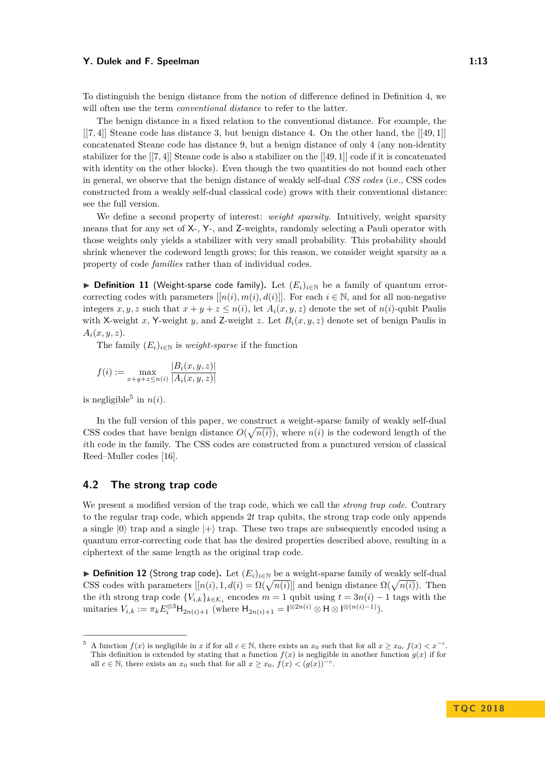To distinguish the benign distance from the notion of difference defined in Definition [4,](#page-7-1) we will often use the term *conventional distance* to refer to the latter.

The benign distance in a fixed relation to the conventional distance. For example, the [[7*,* 4]] Steane code has distance 3, but benign distance 4. On the other hand, the [[49*,* 1]] concatenated Steane code has distance 9, but a benign distance of only 4 (any non-identity stabilizer for the [[7*,* 4]] Steane code is also a stabilizer on the [[49*,* 1]] code if it is concatenated with identity on the other blocks). Even though the two quantities do not bound each other in general, we observe that the benign distance of weakly self-dual *CSS codes* (i.e., CSS codes constructed from a weakly self-dual classical code) grows with their conventional distance: see the full version.

We define a second property of interest: *weight sparsity*. Intuitively, weight sparsity means that for any set of X-, Y-, and Z-weights, randomly selecting a Pauli operator with those weights only yields a stabilizer with very small probability. This probability should shrink whenever the codeword length grows; for this reason, we consider weight sparsity as a property of code *families* rather than of individual codes.

▶ **Definition 11** (Weight-sparse code family). Let  $(E_i)_{i \in \mathbb{N}}$  be a family of quantum errorcorrecting codes with parameters  $[[n(i), m(i), d(i)]]$ . For each  $i \in \mathbb{N}$ , and for all non-negative integers  $x, y, z$  such that  $x + y + z \leq n(i)$ , let  $A_i(x, y, z)$  denote the set of  $n(i)$ -qubit Paulis with X-weight *x*, Y-weight *y*, and Z-weight *z*. Let  $B_i(x, y, z)$  denote set of benign Paulis in  $A_i(x, y, z)$ .

The family  $(E_i)_{i \in \mathbb{N}}$  is *weight-sparse* if the function

$$
f(i) := \max_{x+y+z \le n(i)} \frac{|B_i(x, y, z)|}{|A_i(x, y, z)|}
$$

is negligible<sup>[5](#page-13-0)</sup> in  $n(i)$ .

In the full version of this paper, we construct a weight-sparse family of weakly self-dual CSS codes that have benign distance  $O(\sqrt{n(i)})$ , where  $n(i)$  is the codeword length of the *i*th code in the family. The CSS codes are constructed from a punctured version of classical Reed–Muller codes [\[16\]](#page-17-13).

#### **4.2 The strong trap code**

We present a modified version of the trap code, which we call the *strong trap code*. Contrary to the regular trap code, which appends 2*t* trap qubits, the strong trap code only appends a single  $|0\rangle$  trap and a single  $|+\rangle$  trap. These two traps are subsequently encoded using a quantum error-correcting code that has the desired properties described above, resulting in a ciphertext of the same length as the original trap code.

**► Definition 12** (Strong trap code). Let  $(E_i)_{i \in \mathbb{N}}$  be a weight-sparse family of weakly self-dual CSS codes with parameters  $[[n(i), 1, d(i) = \Omega(\sqrt{n(i)}]]$  and benign distance  $\Omega(\sqrt{n(i)})$ . Then the *i*th strong trap code  ${V_{i,k}}_{k \in K_i}$  encodes  $m = 1$  qubit using  $t = 3n(i) - 1$  tags with the unitaries  $V_{i,k} := \pi_k E_i^{\otimes 3} H_{2n(i)+1}$  (where  $H_{2n(i)+1} = 1^{\otimes 2n(i)} \otimes H \otimes 1^{\otimes (n(i)-1)}$ ).

<span id="page-13-0"></span> $^5$  A function  $f(x)$  is negligible in *x* if for all  $c \in \mathbb{N}$ , there exists an  $x_0$  such that for all  $x \ge x_0$ ,  $f(x) < x^{-c}$ . This definition is extended by stating that a function  $f(x)$  is negligible in another function  $g(x)$  if for all  $c \in \mathbb{N}$ , there exists an  $x_0$  such that for all  $x \ge x_0$ ,  $f(x) < (g(x))^{-c}$ .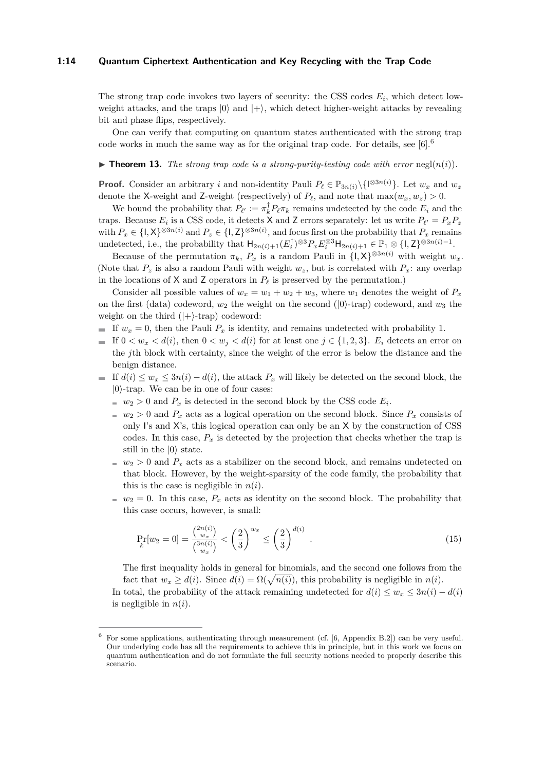#### **1:14 Quantum Ciphertext Authentication and Key Recycling with the Trap Code**

The strong trap code invokes two layers of security: the CSS codes *E<sup>i</sup>* , which detect lowweight attacks, and the traps  $|0\rangle$  and  $|+\rangle$ , which detect higher-weight attacks by revealing bit and phase flips, respectively.

One can verify that computing on quantum states authenticated with the strong trap code works in much the same way as for the original trap code. For details, see  $[6]$ .<sup>[6](#page-14-0)</sup>

#### $\triangleright$  **Theorem 13.** The strong trap code is a strong-purity-testing code with error negl $(n(i))$ .

**Proof.** Consider an arbitrary *i* and non-identity Pauli  $P_\ell \in \mathbb{P}_{3n(i)}\backslash\{1^{\otimes 3n(i)}\}$ . Let  $w_x$  and  $w_z$ denote the X-weight and Z-weight (respectively) of  $P_\ell$ , and note that  $\max(w_x, w_z) > 0$ .

We bound the probability that  $P_{\ell'} := \pi_k^{\dagger} P_{\ell} \pi_k$  remains undetected by the code  $E_i$  and the traps. Because  $E_i$  is a CSS code, it detects X and Z errors separately: let us write  $P_{\ell'} = P_x P_z$ with  $P_x \in \{1, X\}^{\otimes 3n(i)}$  and  $P_z \in \{1, Z\}^{\otimes 3n(i)}$ , and focus first on the probability that  $P_x$  remains undetected, i.e., the probability that  $H_{2n(i)+1}(E_i^{\dagger})^{\otimes 3}P_x E_i^{\otimes 3}H_{2n(i)+1} \in \mathbb{P}_1 \otimes \{1, Z\}^{\otimes 3n(i)-1}$ .

Because of the permutation  $\pi_k$ ,  $P_x$  is a random Pauli in  $\{I, X\}^{\otimes 3n(i)}$  with weight  $w_x$ . (Note that  $P_z$  is also a random Pauli with weight  $w_z$ , but is correlated with  $P_x$ : any overlap in the locations of  $X$  and  $Z$  operators in  $P_\ell$  is preserved by the permutation.)

Consider all possible values of  $w_x = w_1 + w_2 + w_3$ , where  $w_1$  denotes the weight of  $P_x$ on the first (data) codeword,  $w_2$  the weight on the second ( $|0\rangle$ -trap) codeword, and  $w_3$  the weight on the third  $(|+\rangle$ -trap) codeword:

- If  $w_x = 0$ , then the Pauli  $P_x$  is identity, and remains undetected with probability 1.
- If  $0 < w_x < d(i)$ , then  $0 < w_i < d(i)$  for at least one  $j \in \{1, 2, 3\}$ .  $E_i$  detects an error on the *j*th block with certainty, since the weight of the error is below the distance and the benign distance.
- If  $d(i)$  ≤  $w_x$  ≤ 3 $n(i) d(i)$ , the attack  $P_x$  will likely be detected on the second block, the  $|0\rangle$ -trap. We can be in one of four cases:
	- $w_2 > 0$  and  $P_x$  is detected in the second block by the CSS code  $E_i$ .
	- $w_2 > 0$  and  $P_x$  acts as a logical operation on the second block. Since  $P_x$  consists of only I's and  $X$ 's, this logical operation can only be an  $X$  by the construction of CSS codes. In this case,  $P_x$  is detected by the projection that checks whether the trap is still in the  $|0\rangle$  state.
	- $w_2 > 0$  and  $P_x$  acts as a stabilizer on the second block, and remains undetected on that block. However, by the weight-sparsity of the code family, the probability that this is the case is negligible in  $n(i)$ .
	- $w_2 = 0$ . In this case,  $P_x$  acts as identity on the second block. The probability that this case occurs, however, is small:

$$
\Pr_{k}[w_2 = 0] = \frac{\binom{2n(i)}{w_x}}{\binom{3n(i)}{w_x}} < \left(\frac{2}{3}\right)^{w_x} \le \left(\frac{2}{3}\right)^{d(i)}\tag{15}
$$

The first inequality holds in general for binomials, and the second one follows from the fact that  $w_x \geq d(i)$ . Since  $d(i) = \Omega(\sqrt{n(i)})$ , this probability is negligible in  $n(i)$ .

In total, the probability of the attack remaining undetected for  $d(i) \leq w_x \leq 3n(i) - d(i)$ is negligible in  $n(i)$ .

<span id="page-14-0"></span><sup>6</sup> For some applications, authenticating through measurement (cf. [\[6,](#page-17-3) Appendix B.2]) can be very useful. Our underlying code has all the requirements to achieve this in principle, but in this work we focus on quantum authentication and do not formulate the full security notions needed to properly describe this scenario.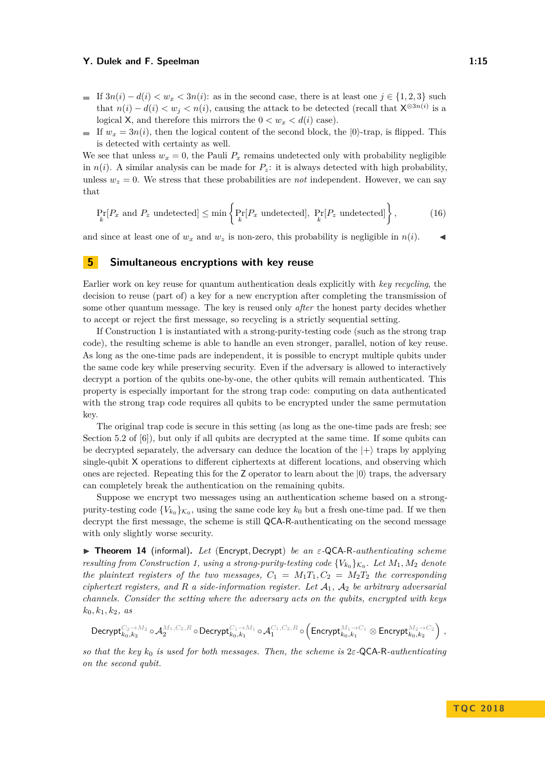- If  $3n(i) d(i) < w_x < 3n(i)$ : as in the second case, there is at least one  $j \in \{1, 2, 3\}$  such that  $n(i) - d(i) < w_j < n(i)$ , causing the attack to be detected (recall that  $\mathsf{X}^{\otimes 3n(i)}$  is a logical X, and therefore this mirrors the  $0 < w_x < d(i)$  case).
- If  $w_x = 3n(i)$ , then the logical content of the second block, the  $|0\rangle$ -trap, is flipped. This is detected with certainty as well.

We see that unless  $w_x = 0$ , the Pauli  $P_x$  remains undetected only with probability negligible in  $n(i)$ . A similar analysis can be made for  $P_z$ : it is always detected with high probability, unless  $w_z = 0$ . We stress that these probabilities are *not* independent. However, we can say that

$$
\Pr_{k}[P_x \text{ and } P_z \text{ undetected}] \le \min \left\{ \Pr_{k}[P_x \text{ undetected}], \Pr_{k}[P_z \text{ undetected}] \right\},\tag{16}
$$

and since at least one of  $w_x$  and  $w_z$  is non-zero, this probability is negligible in  $n(i)$ .

## <span id="page-15-0"></span>**5 Simultaneous encryptions with key reuse**

Earlier work on key reuse for quantum authentication deals explicitly with *key recycling*, the decision to reuse (part of) a key for a new encryption after completing the transmission of some other quantum message. The key is reused only *after* the honest party decides whether to accept or reject the first message, so recycling is a strictly sequential setting.

If Construction [1](#page-8-2) is instantiated with a strong-purity-testing code (such as the strong trap code), the resulting scheme is able to handle an even stronger, parallel, notion of key reuse. As long as the one-time pads are independent, it is possible to encrypt multiple qubits under the same code key while preserving security. Even if the adversary is allowed to interactively decrypt a portion of the qubits one-by-one, the other qubits will remain authenticated. This property is especially important for the strong trap code: computing on data authenticated with the strong trap code requires all qubits to be encrypted under the same permutation key.

The original trap code is secure in this setting (as long as the one-time pads are fresh; see Section 5.2 of [\[6\]](#page-17-3)), but only if all qubits are decrypted at the same time. If some qubits can be decrypted separately, the adversary can deduce the location of the  $|+\rangle$  traps by applying single-qubit X operations to different ciphertexts at different locations, and observing which ones are rejected. Repeating this for the Z operator to learn about the  $|0\rangle$  traps, the adversary can completely break the authentication on the remaining qubits.

Suppose we encrypt two messages using an authentication scheme based on a strongpurity-testing code  ${V_{k_0}}_{\sigma}$ , using the same code key  $k_0$  but a fresh one-time pad. If we then decrypt the first message, the scheme is still QCA-R-authenticating on the second message with only slightly worse security.

I **Theorem 14** (informal)**.** *Let* (Encrypt*,* Decrypt) *be an ε-*QCA-R*-authenticating scheme resulting from Construction [1,](#page-8-2) using a strong-purity-testing code*  ${V_{k_0}}_{\alpha}$ . Let  $M_1, M_2$  denote *the plaintext registers of the two messages,*  $C_1 = M_1T_1, C_2 = M_2T_2$  *the corresponding ciphertext registers, and*  $R$  *a side-information register. Let*  $A_1$ ,  $A_2$  *be arbitrary adversarial channels. Consider the setting where the adversary acts on the qubits, encrypted with keys*  $k_0, k_1, k_2, \text{ as}$ 

$$
\text{Decrypt}^{C_2\rightarrow M_2}_{k_0,k_2}\circ\mathcal{A}_2^{M_1,C_2,R}\circ \text{Decrypt}^{C_1\rightarrow M_1}_{k_0,k_1}\circ \mathcal{A}_1^{C_1,C_2,R}\circ\left(\text{Encrypt}^{M_1\rightarrow C_1}_{k_0,k_1}\otimes\text{Encrypt}^{M_2\rightarrow C_2}_{k_0,k_2}\right)\,,
$$

*so that the key k*<sup>0</sup> *is used for both messages. Then, the scheme is* 2*ε-*QCA-R*-authenticating on the second qubit.*

**TQ C 2 0 1 8**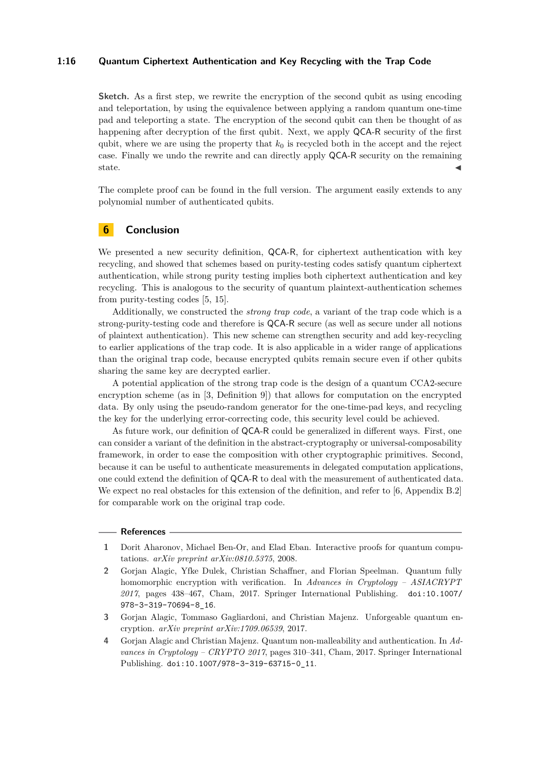#### **1:16 Quantum Ciphertext Authentication and Key Recycling with the Trap Code**

**Sketch.** As a first step, we rewrite the encryption of the second qubit as using encoding and teleportation, by using the equivalence between applying a random quantum one-time pad and teleporting a state. The encryption of the second qubit can then be thought of as happening after decryption of the first qubit. Next, we apply QCA-R security of the first qubit, where we are using the property that  $k_0$  is recycled both in the accept and the reject case. Finally we undo the rewrite and can directly apply QCA-R security on the remaining state.

The complete proof can be found in the full version. The argument easily extends to any polynomial number of authenticated qubits.

## **6 Conclusion**

We presented a new security definition, QCA-R, for ciphertext authentication with key recycling, and showed that schemes based on purity-testing codes satisfy quantum ciphertext authentication, while strong purity testing implies both ciphertext authentication and key recycling. This is analogous to the security of quantum plaintext-authentication schemes from purity-testing codes [\[5,](#page-17-2) [15\]](#page-17-7).

Additionally, we constructed the *strong trap code*, a variant of the trap code which is a strong-purity-testing code and therefore is QCA-R secure (as well as secure under all notions of plaintext authentication). This new scheme can strengthen security and add key-recycling to earlier applications of the trap code. It is also applicable in a wider range of applications than the original trap code, because encrypted qubits remain secure even if other qubits sharing the same key are decrypted earlier.

A potential application of the strong trap code is the design of a quantum CCA2-secure encryption scheme (as in [\[3,](#page-16-2) Definition 9]) that allows for computation on the encrypted data. By only using the pseudo-random generator for the one-time-pad keys, and recycling the key for the underlying error-correcting code, this security level could be achieved.

As future work, our definition of QCA-R could be generalized in different ways. First, one can consider a variant of the definition in the abstract-cryptography or universal-composability framework, in order to ease the composition with other cryptographic primitives. Second, because it can be useful to authenticate measurements in delegated computation applications, one could extend the definition of QCA-R to deal with the measurement of authenticated data. We expect no real obstacles for this extension of the definition, and refer to [\[6,](#page-17-3) Appendix B.2] for comparable work on the original trap code.

#### **References**

- <span id="page-16-0"></span>**1** Dorit Aharonov, Michael Ben-Or, and Elad Eban. Interactive proofs for quantum computations. *arXiv preprint arXiv:0810.5375*, 2008.
- <span id="page-16-1"></span>**2** Gorjan Alagic, Yfke Dulek, Christian Schaffner, and Florian Speelman. Quantum fully homomorphic encryption with verification. In *Advances in Cryptology – ASIACRYPT 2017*, pages 438–467, Cham, 2017. Springer International Publishing. [doi:10.1007/](http://dx.doi.org/10.1007/978-3-319-70694-8_16) [978-3-319-70694-8\\_16](http://dx.doi.org/10.1007/978-3-319-70694-8_16).
- <span id="page-16-2"></span>**3** Gorjan Alagic, Tommaso Gagliardoni, and Christian Majenz. Unforgeable quantum encryption. *arXiv preprint arXiv:1709.06539*, 2017.
- <span id="page-16-3"></span>**4** Gorjan Alagic and Christian Majenz. Quantum non-malleability and authentication. In *Advances in Cryptology – CRYPTO 2017*, pages 310–341, Cham, 2017. Springer International Publishing. [doi:10.1007/978-3-319-63715-0\\_11](http://dx.doi.org/10.1007/978-3-319-63715-0_11).